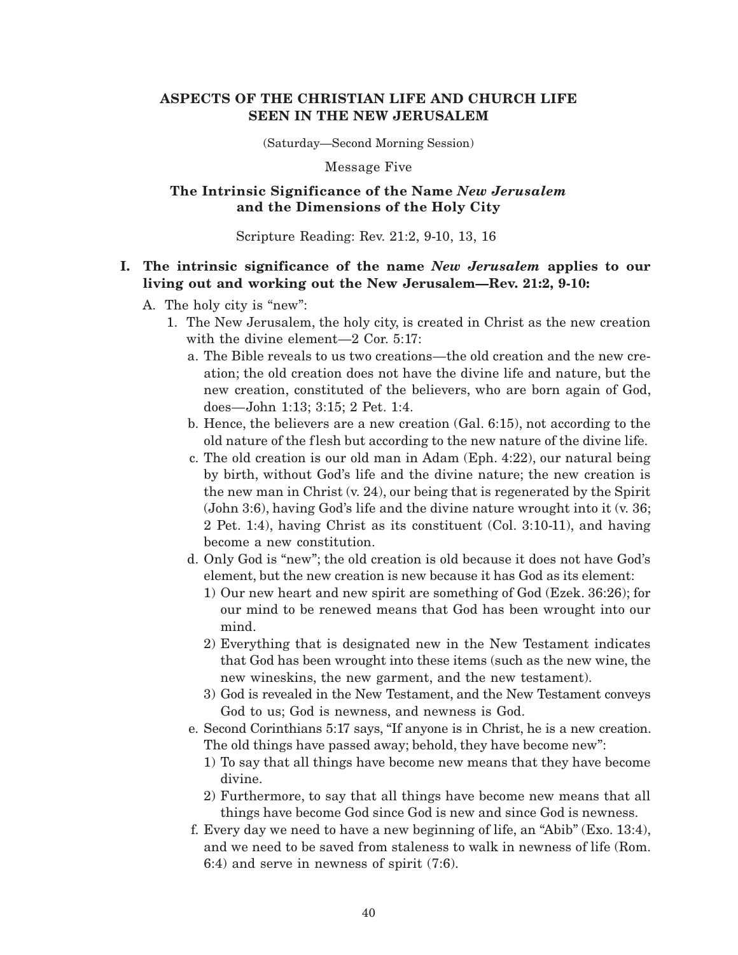# **ASPECTS OF THE CHRISTIAN LIFE AND CHURCH LIFE SEEN IN THE NEW JERUSALEM**

(Saturday—Second Morning Session)

Message Five

## **The Intrinsic Significance of the Name** *New Jerusalem* **and the Dimensions of the Holy City**

Scripture Reading: Rev. 21:2, 9-10, 13, 16

# **I. The intrinsic significance of the name** *New Jerusalem* **applies to our living out and working out the New Jerusalem—Rev. 21:2, 9-10:**

- A. The holy city is "new":
	- 1. The New Jerusalem, the holy city, is created in Christ as the new creation with the divine element—2 Cor. 5:17:
		- a. The Bible reveals to us two creations—the old creation and the new creation; the old creation does not have the divine life and nature, but the new creation, constituted of the believers, who are born again of God, does—John 1:13; 3:15; 2 Pet. 1:4.
		- b. Hence, the believers are a new creation (Gal. 6:15), not according to the old nature of the flesh but according to the new nature of the divine life.
		- c. The old creation is our old man in Adam (Eph. 4:22), our natural being by birth, without God's life and the divine nature; the new creation is the new man in Christ (v. 24), our being that is regenerated by the Spirit (John 3:6), having God's life and the divine nature wrought into it (v. 36; 2 Pet. 1:4), having Christ as its constituent (Col. 3:10-11), and having become a new constitution.
		- d. Only God is "new"; the old creation is old because it does not have God's element, but the new creation is new because it has God as its element:
			- 1) Our new heart and new spirit are something of God (Ezek. 36:26); for our mind to be renewed means that God has been wrought into our mind.
			- 2) Everything that is designated new in the New Testament indicates that God has been wrought into these items (such as the new wine, the new wineskins, the new garment, and the new testament).
			- 3) God is revealed in the New Testament, and the New Testament conveys God to us; God is newness, and newness is God.
		- e. Second Corinthians 5:17 says, "If anyone is in Christ, he is a new creation. The old things have passed away; behold, they have become new":
			- 1) To say that all things have become new means that they have become divine.
			- 2) Furthermore, to say that all things have become new means that all things have become God since God is new and since God is newness.
		- f. Every day we need to have a new beginning of life, an "Abib" (Exo. 13:4), and we need to be saved from staleness to walk in newness of life (Rom. 6:4) and serve in newness of spirit (7:6).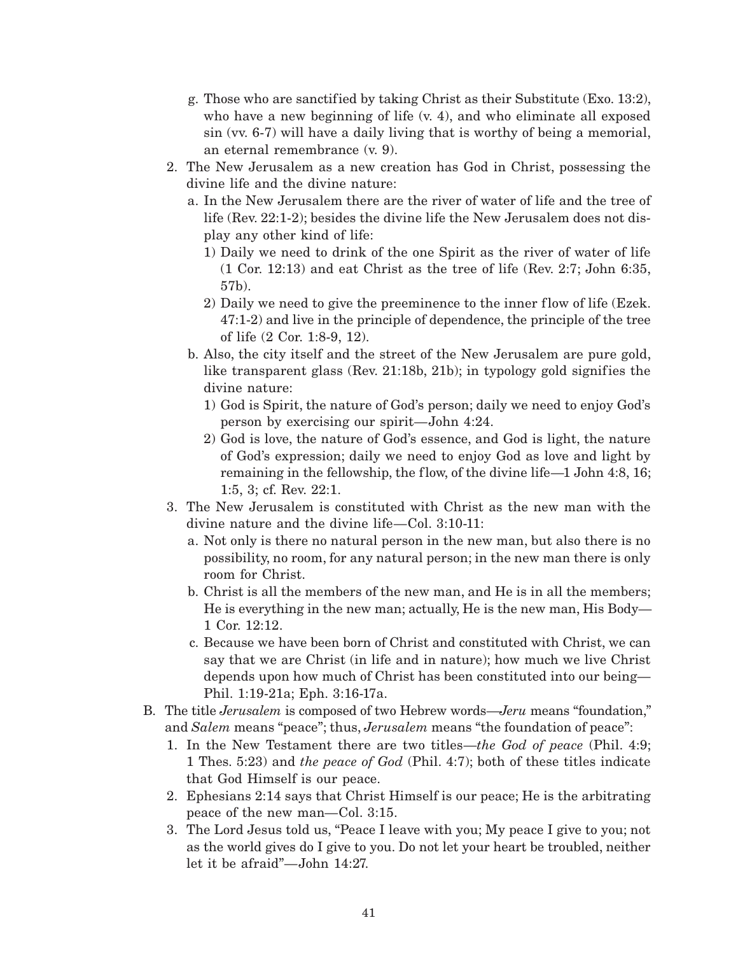- g. Those who are sanctified by taking Christ as their Substitute (Exo. 13:2), who have a new beginning of life  $(v, 4)$ , and who eliminate all exposed sin (vv. 6-7) will have a daily living that is worthy of being a memorial, an eternal remembrance (v. 9).
- 2. The New Jerusalem as a new creation has God in Christ, possessing the divine life and the divine nature:
	- a. In the New Jerusalem there are the river of water of life and the tree of life (Rev. 22:1-2); besides the divine life the New Jerusalem does not display any other kind of life:
		- 1) Daily we need to drink of the one Spirit as the river of water of life (1 Cor. 12:13) and eat Christ as the tree of life (Rev. 2:7; John 6:35, 57b).
		- 2) Daily we need to give the preeminence to the inner flow of life (Ezek. 47:1-2) and live in the principle of dependence, the principle of the tree of life (2 Cor. 1:8-9, 12).
	- b. Also, the city itself and the street of the New Jerusalem are pure gold, like transparent glass (Rev. 21:18b, 21b); in typology gold signifies the divine nature:
		- 1) God is Spirit, the nature of God's person; daily we need to enjoy God's person by exercising our spirit—John 4:24.
		- 2) God is love, the nature of God's essence, and God is light, the nature of God's expression; daily we need to enjoy God as love and light by remaining in the fellowship, the flow, of the divine life—1 John 4:8, 16; 1:5, 3; cf. Rev. 22:1.
- 3. The New Jerusalem is constituted with Christ as the new man with the divine nature and the divine life—Col. 3:10-11:
	- a. Not only is there no natural person in the new man, but also there is no possibility, no room, for any natural person; in the new man there is only room for Christ.
	- b. Christ is all the members of the new man, and He is in all the members; He is everything in the new man; actually, He is the new man, His Body— 1 Cor. 12:12.
	- c. Because we have been born of Christ and constituted with Christ, we can say that we are Christ (in life and in nature); how much we live Christ depends upon how much of Christ has been constituted into our being— Phil. 1:19-21a; Eph. 3:16-17a.
- B. The title *Jerusalem* is composed of two Hebrew words—*Jeru* means "foundation," and *Salem* means "peace"; thus, *Jerusalem* means "the foundation of peace":
	- 1. In the New Testament there are two titles—*the God of peace* (Phil. 4:9; 1 Thes. 5:23) and *the peace of God* (Phil. 4:7); both of these titles indicate that God Himself is our peace.
	- 2. Ephesians 2:14 says that Christ Himself is our peace; He is the arbitrating peace of the new man—Col. 3:15.
	- 3. The Lord Jesus told us, "Peace I leave with you; My peace I give to you; not as the world gives do I give to you. Do not let your heart be troubled, neither let it be afraid"—John 14:27.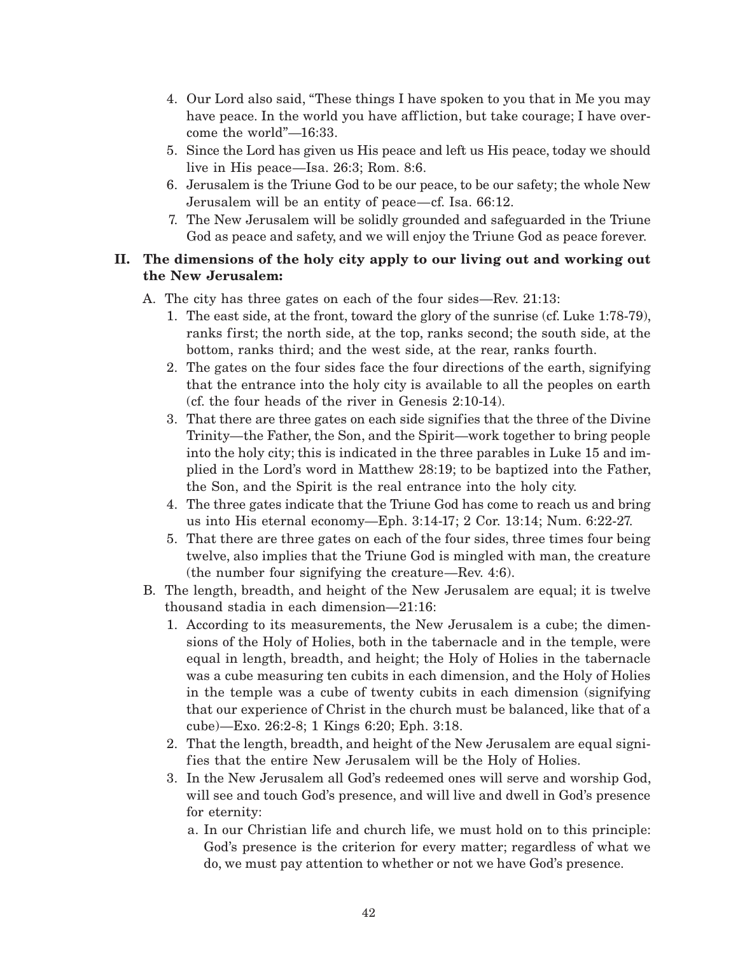- 4. Our Lord also said, "These things I have spoken to you that in Me you may have peace. In the world you have affliction, but take courage; I have overcome the world"—16:33.
- 5. Since the Lord has given us His peace and left us His peace, today we should live in His peace—Isa. 26:3; Rom. 8:6.
- 6. Jerusalem is the Triune God to be our peace, to be our safety; the whole New Jerusalem will be an entity of peace—cf. Isa. 66:12.
- 7. The New Jerusalem will be solidly grounded and safeguarded in the Triune God as peace and safety, and we will enjoy the Triune God as peace forever.

# **II. The dimensions of the holy city apply to our living out and working out the New Jerusalem:**

- A. The city has three gates on each of the four sides—Rev. 21:13:
	- 1. The east side, at the front, toward the glory of the sunrise (cf. Luke 1:78-79), ranks first; the north side, at the top, ranks second; the south side, at the bottom, ranks third; and the west side, at the rear, ranks fourth.
	- 2. The gates on the four sides face the four directions of the earth, signifying that the entrance into the holy city is available to all the peoples on earth (cf. the four heads of the river in Genesis 2:10-14).
	- 3. That there are three gates on each side signifies that the three of the Divine Trinity—the Father, the Son, and the Spirit—work together to bring people into the holy city; this is indicated in the three parables in Luke 15 and implied in the Lord's word in Matthew 28:19; to be baptized into the Father, the Son, and the Spirit is the real entrance into the holy city.
	- 4. The three gates indicate that the Triune God has come to reach us and bring us into His eternal economy—Eph. 3:14-17; 2 Cor. 13:14; Num. 6:22-27.
	- 5. That there are three gates on each of the four sides, three times four being twelve, also implies that the Triune God is mingled with man, the creature (the number four signifying the creature—Rev. 4:6).
- B. The length, breadth, and height of the New Jerusalem are equal; it is twelve thousand stadia in each dimension—21:16:
	- 1. According to its measurements, the New Jerusalem is a cube; the dimensions of the Holy of Holies, both in the tabernacle and in the temple, were equal in length, breadth, and height; the Holy of Holies in the tabernacle was a cube measuring ten cubits in each dimension, and the Holy of Holies in the temple was a cube of twenty cubits in each dimension (signifying that our experience of Christ in the church must be balanced, like that of a cube)—Exo. 26:2-8; 1 Kings 6:20; Eph. 3:18.
	- 2. That the length, breadth, and height of the New Jerusalem are equal signifies that the entire New Jerusalem will be the Holy of Holies.
	- 3. In the New Jerusalem all God's redeemed ones will serve and worship God, will see and touch God's presence, and will live and dwell in God's presence for eternity:
		- a. In our Christian life and church life, we must hold on to this principle: God's presence is the criterion for every matter; regardless of what we do, we must pay attention to whether or not we have God's presence.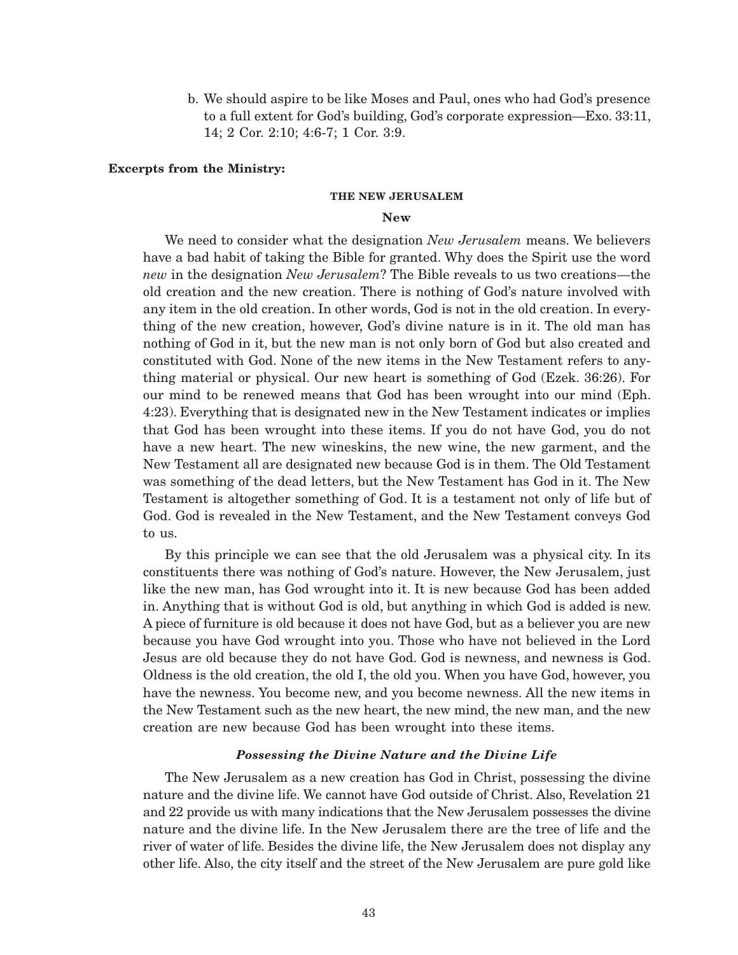b. We should aspire to be like Moses and Paul, ones who had God's presence to a full extent for God's building, God's corporate expression—Exo. 33:11, 14; 2 Cor. 2:10; 4:6-7; 1 Cor. 3:9.

### **Excerpts from the Ministry:**

#### **THE NEW JERUSALEM**

### **New**

We need to consider what the designation *New Jerusalem* means. We believers have a bad habit of taking the Bible for granted. Why does the Spirit use the word *new* in the designation *New Jerusalem*? The Bible reveals to us two creations—the old creation and the new creation. There is nothing of God's nature involved with any item in the old creation. In other words, God is not in the old creation. In everything of the new creation, however, God's divine nature is in it. The old man has nothing of God in it, but the new man is not only born of God but also created and constituted with God. None of the new items in the New Testament refers to anything material or physical. Our new heart is something of God (Ezek. 36:26). For our mind to be renewed means that God has been wrought into our mind (Eph. 4:23). Everything that is designated new in the New Testament indicates or implies that God has been wrought into these items. If you do not have God, you do not have a new heart. The new wineskins, the new wine, the new garment, and the New Testament all are designated new because God is in them. The Old Testament was something of the dead letters, but the New Testament has God in it. The New Testament is altogether something of God. It is a testament not only of life but of God. God is revealed in the New Testament, and the New Testament conveys God to us.

By this principle we can see that the old Jerusalem was a physical city. In its constituents there was nothing of God's nature. However, the New Jerusalem, just like the new man, has God wrought into it. It is new because God has been added in. Anything that is without God is old, but anything in which God is added is new. A piece of furniture is old because it does not have God, but as a believer you are new because you have God wrought into you. Those who have not believed in the Lord Jesus are old because they do not have God. God is newness, and newness is God. Oldness is the old creation, the old I, the old you. When you have God, however, you have the newness. You become new, and you become newness. All the new items in the New Testament such as the new heart, the new mind, the new man, and the new creation are new because God has been wrought into these items.

### *Possessing the Divine Nature and the Divine Life*

The New Jerusalem as a new creation has God in Christ, possessing the divine nature and the divine life. We cannot have God outside of Christ. Also, Revelation 21 and 22 provide us with many indications that the New Jerusalem possesses the divine nature and the divine life. In the New Jerusalem there are the tree of life and the river of water of life. Besides the divine life, the New Jerusalem does not display any other life. Also, the city itself and the street of the New Jerusalem are pure gold like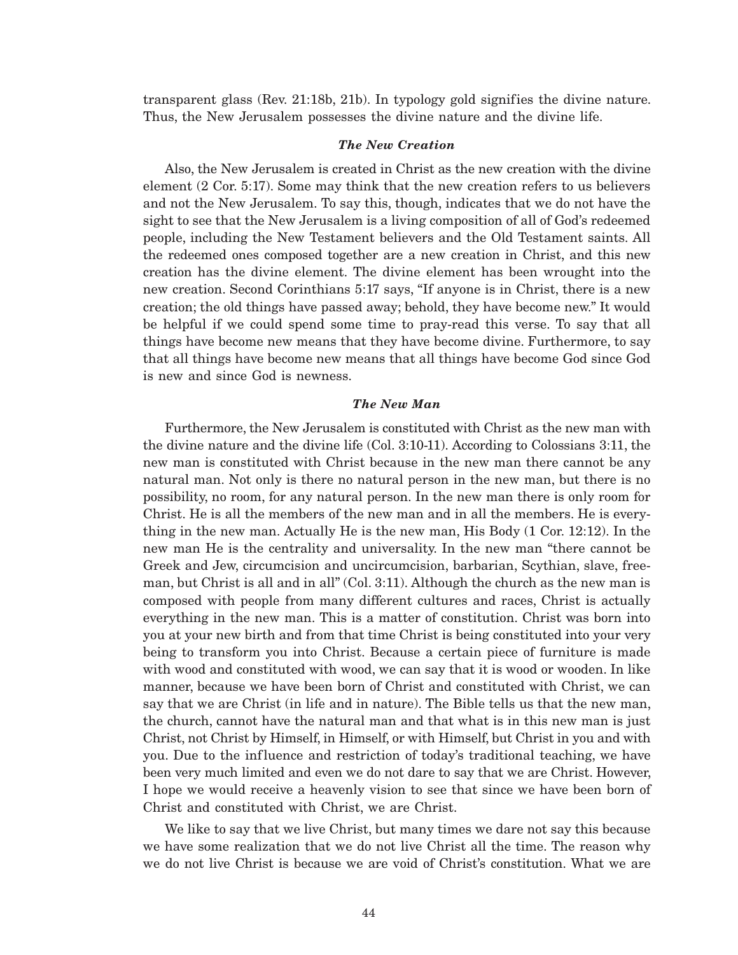transparent glass (Rev. 21:18b, 21b). In typology gold signifies the divine nature. Thus, the New Jerusalem possesses the divine nature and the divine life.

### *The New Creation*

Also, the New Jerusalem is created in Christ as the new creation with the divine element (2 Cor. 5:17). Some may think that the new creation refers to us believers and not the New Jerusalem. To say this, though, indicates that we do not have the sight to see that the New Jerusalem is a living composition of all of God's redeemed people, including the New Testament believers and the Old Testament saints. All the redeemed ones composed together are a new creation in Christ, and this new creation has the divine element. The divine element has been wrought into the new creation. Second Corinthians 5:17 says, "If anyone is in Christ, there is a new creation; the old things have passed away; behold, they have become new." It would be helpful if we could spend some time to pray-read this verse. To say that all things have become new means that they have become divine. Furthermore, to say that all things have become new means that all things have become God since God is new and since God is newness.

## *The New Man*

Furthermore, the New Jerusalem is constituted with Christ as the new man with the divine nature and the divine life (Col. 3:10-11). According to Colossians 3:11, the new man is constituted with Christ because in the new man there cannot be any natural man. Not only is there no natural person in the new man, but there is no possibility, no room, for any natural person. In the new man there is only room for Christ. He is all the members of the new man and in all the members. He is everything in the new man. Actually He is the new man, His Body (1 Cor. 12:12). In the new man He is the centrality and universality. In the new man "there cannot be Greek and Jew, circumcision and uncircumcision, barbarian, Scythian, slave, freeman, but Christ is all and in all" (Col. 3:11). Although the church as the new man is composed with people from many different cultures and races, Christ is actually everything in the new man. This is a matter of constitution. Christ was born into you at your new birth and from that time Christ is being constituted into your very being to transform you into Christ. Because a certain piece of furniture is made with wood and constituted with wood, we can say that it is wood or wooden. In like manner, because we have been born of Christ and constituted with Christ, we can say that we are Christ (in life and in nature). The Bible tells us that the new man, the church, cannot have the natural man and that what is in this new man is just Christ, not Christ by Himself, in Himself, or with Himself, but Christ in you and with you. Due to the influence and restriction of today's traditional teaching, we have been very much limited and even we do not dare to say that we are Christ. However, I hope we would receive a heavenly vision to see that since we have been born of Christ and constituted with Christ, we are Christ.

We like to say that we live Christ, but many times we dare not say this because we have some realization that we do not live Christ all the time. The reason why we do not live Christ is because we are void of Christ's constitution. What we are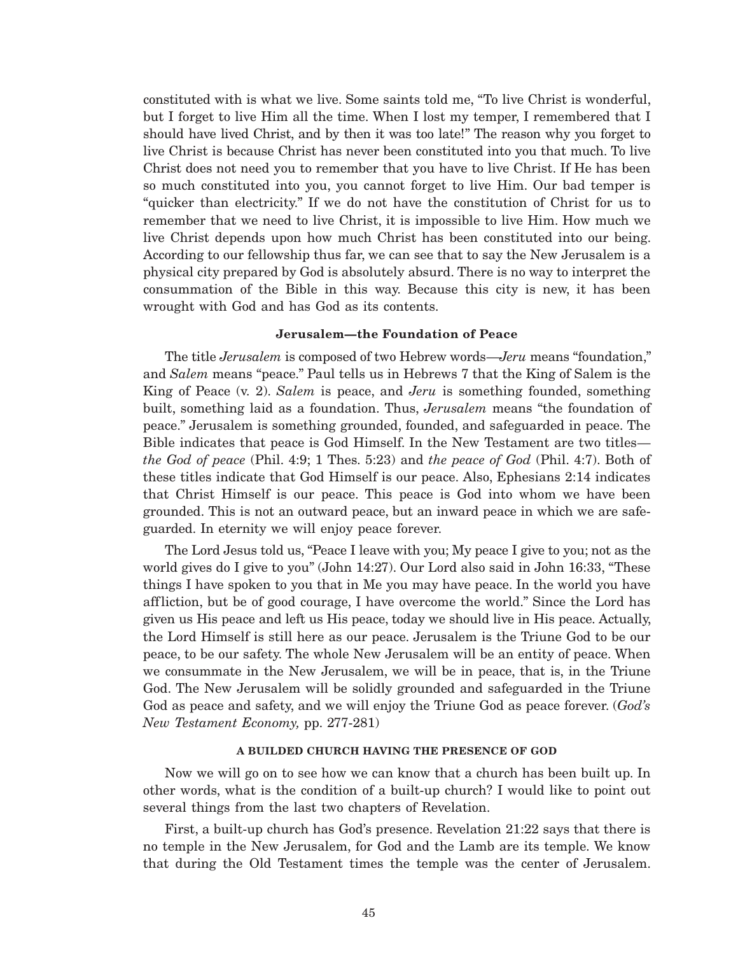constituted with is what we live. Some saints told me, "To live Christ is wonderful, but I forget to live Him all the time. When I lost my temper, I remembered that I should have lived Christ, and by then it was too late!" The reason why you forget to live Christ is because Christ has never been constituted into you that much. To live Christ does not need you to remember that you have to live Christ. If He has been so much constituted into you, you cannot forget to live Him. Our bad temper is "quicker than electricity." If we do not have the constitution of Christ for us to remember that we need to live Christ, it is impossible to live Him. How much we live Christ depends upon how much Christ has been constituted into our being. According to our fellowship thus far, we can see that to say the New Jerusalem is a physical city prepared by God is absolutely absurd. There is no way to interpret the consummation of the Bible in this way. Because this city is new, it has been wrought with God and has God as its contents.

#### **Jerusalem—the Foundation of Peace**

The title *Jerusalem* is composed of two Hebrew words—*Jeru* means "foundation," and *Salem* means "peace." Paul tells us in Hebrews 7 that the King of Salem is the King of Peace (v. 2). *Salem* is peace, and *Jeru* is something founded, something built, something laid as a foundation. Thus, *Jerusalem* means "the foundation of peace." Jerusalem is something grounded, founded, and safeguarded in peace. The Bible indicates that peace is God Himself. In the New Testament are two titles *the God of peace* (Phil. 4:9; 1 Thes. 5:23) and *the peace of God* (Phil. 4:7). Both of these titles indicate that God Himself is our peace. Also, Ephesians 2:14 indicates that Christ Himself is our peace. This peace is God into whom we have been grounded. This is not an outward peace, but an inward peace in which we are safeguarded. In eternity we will enjoy peace forever.

The Lord Jesus told us, "Peace I leave with you; My peace I give to you; not as the world gives do I give to you" (John 14:27). Our Lord also said in John 16:33, "These things I have spoken to you that in Me you may have peace. In the world you have affliction, but be of good courage, I have overcome the world." Since the Lord has given us His peace and left us His peace, today we should live in His peace. Actually, the Lord Himself is still here as our peace. Jerusalem is the Triune God to be our peace, to be our safety. The whole New Jerusalem will be an entity of peace. When we consummate in the New Jerusalem, we will be in peace, that is, in the Triune God. The New Jerusalem will be solidly grounded and safeguarded in the Triune God as peace and safety, and we will enjoy the Triune God as peace forever. (*God's New Testament Economy,* pp. 277-281)

#### **A BUILDED CHURCH HAVING THE PRESENCE OF GOD**

Now we will go on to see how we can know that a church has been built up. In other words, what is the condition of a built-up church? I would like to point out several things from the last two chapters of Revelation.

First, a built-up church has God's presence. Revelation 21:22 says that there is no temple in the New Jerusalem, for God and the Lamb are its temple. We know that during the Old Testament times the temple was the center of Jerusalem.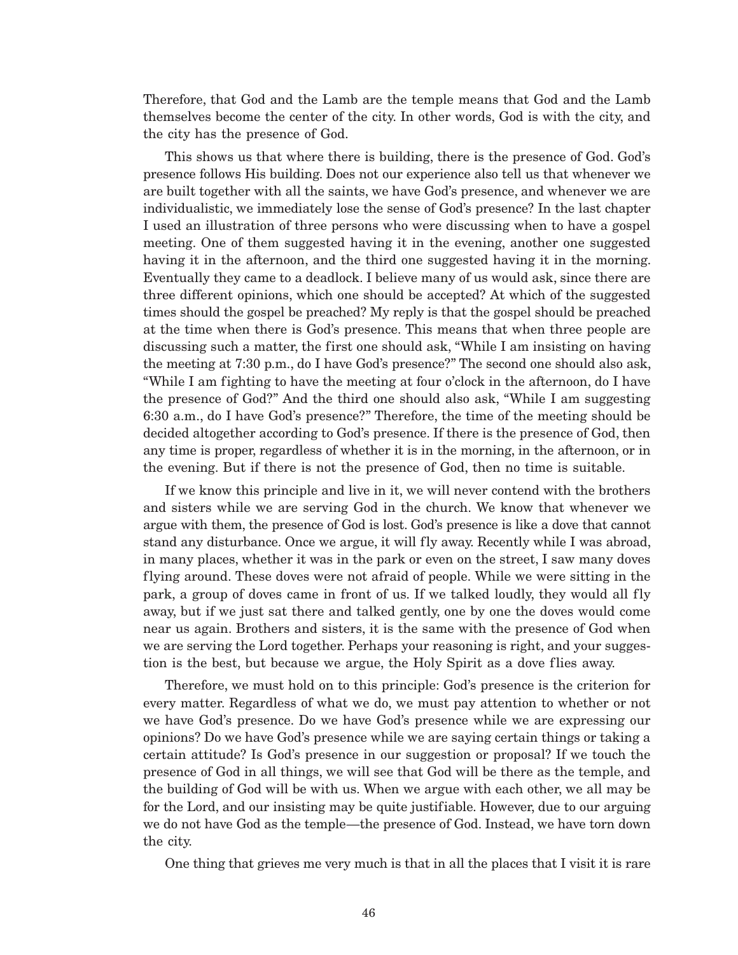Therefore, that God and the Lamb are the temple means that God and the Lamb themselves become the center of the city. In other words, God is with the city, and the city has the presence of God.

This shows us that where there is building, there is the presence of God. God's presence follows His building. Does not our experience also tell us that whenever we are built together with all the saints, we have God's presence, and whenever we are individualistic, we immediately lose the sense of God's presence? In the last chapter I used an illustration of three persons who were discussing when to have a gospel meeting. One of them suggested having it in the evening, another one suggested having it in the afternoon, and the third one suggested having it in the morning. Eventually they came to a deadlock. I believe many of us would ask, since there are three different opinions, which one should be accepted? At which of the suggested times should the gospel be preached? My reply is that the gospel should be preached at the time when there is God's presence. This means that when three people are discussing such a matter, the first one should ask, "While I am insisting on having the meeting at 7:30 p.m., do I have God's presence?" The second one should also ask, "While I am fighting to have the meeting at four o'clock in the afternoon, do I have the presence of God?" And the third one should also ask, "While I am suggesting 6:30 a.m., do I have God's presence?" Therefore, the time of the meeting should be decided altogether according to God's presence. If there is the presence of God, then any time is proper, regardless of whether it is in the morning, in the afternoon, or in the evening. But if there is not the presence of God, then no time is suitable.

If we know this principle and live in it, we will never contend with the brothers and sisters while we are serving God in the church. We know that whenever we argue with them, the presence of God is lost. God's presence is like a dove that cannot stand any disturbance. Once we argue, it will fly away. Recently while I was abroad, in many places, whether it was in the park or even on the street, I saw many doves flying around. These doves were not afraid of people. While we were sitting in the park, a group of doves came in front of us. If we talked loudly, they would all fly away, but if we just sat there and talked gently, one by one the doves would come near us again. Brothers and sisters, it is the same with the presence of God when we are serving the Lord together. Perhaps your reasoning is right, and your suggestion is the best, but because we argue, the Holy Spirit as a dove flies away.

Therefore, we must hold on to this principle: God's presence is the criterion for every matter. Regardless of what we do, we must pay attention to whether or not we have God's presence. Do we have God's presence while we are expressing our opinions? Do we have God's presence while we are saying certain things or taking a certain attitude? Is God's presence in our suggestion or proposal? If we touch the presence of God in all things, we will see that God will be there as the temple, and the building of God will be with us. When we argue with each other, we all may be for the Lord, and our insisting may be quite justifiable. However, due to our arguing we do not have God as the temple—the presence of God. Instead, we have torn down the city.

One thing that grieves me very much is that in all the places that I visit it is rare